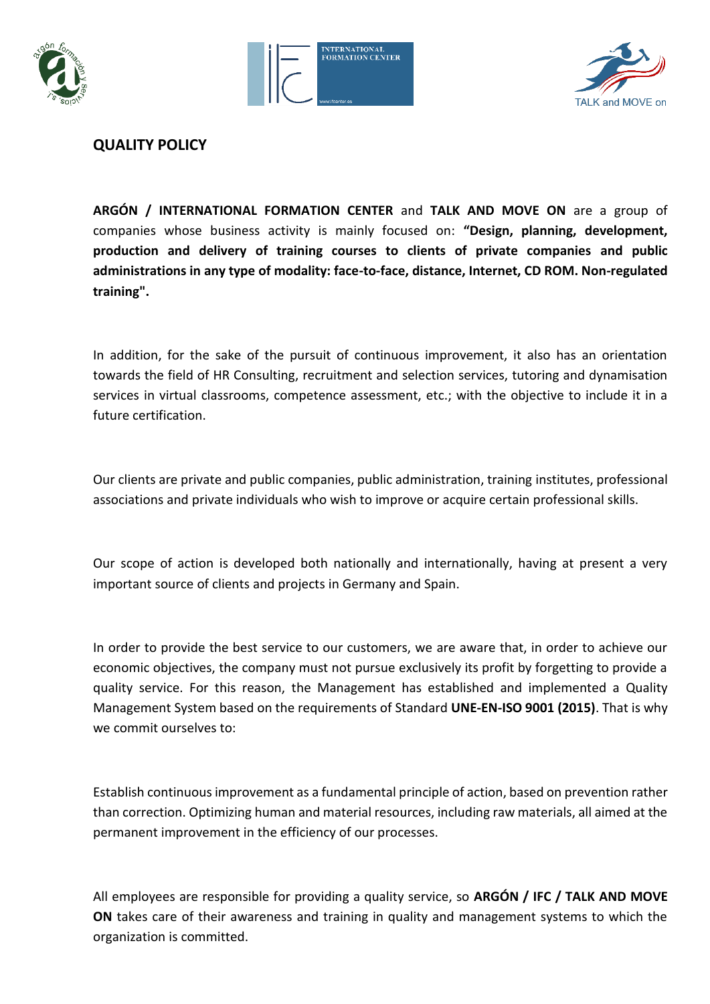





**QUALITY POLICY**

**ARGÓN / INTERNATIONAL FORMATION CENTER** and **TALK AND MOVE ON** are a group of companies whose business activity is mainly focused on: **"Design, planning, development, production and delivery of training courses to clients of private companies and public administrations in any type of modality: face-to-face, distance, Internet, CD ROM. Non-regulated training".**

In addition, for the sake of the pursuit of continuous improvement, it also has an orientation towards the field of HR Consulting, recruitment and selection services, tutoring and dynamisation services in virtual classrooms, competence assessment, etc.; with the objective to include it in a future certification.

Our clients are private and public companies, public administration, training institutes, professional associations and private individuals who wish to improve or acquire certain professional skills.

Our scope of action is developed both nationally and internationally, having at present a very important source of clients and projects in Germany and Spain.

In order to provide the best service to our customers, we are aware that, in order to achieve our economic objectives, the company must not pursue exclusively its profit by forgetting to provide a quality service. For this reason, the Management has established and implemented a Quality Management System based on the requirements of Standard **UNE-EN-ISO 9001 (2015)**. That is why we commit ourselves to:

Establish continuous improvement as a fundamental principle of action, based on prevention rather than correction. Optimizing human and material resources, including raw materials, all aimed at the permanent improvement in the efficiency of our processes.

All employees are responsible for providing a quality service, so **ARGÓN / IFC / TALK AND MOVE ON** takes care of their awareness and training in quality and management systems to which the organization is committed.